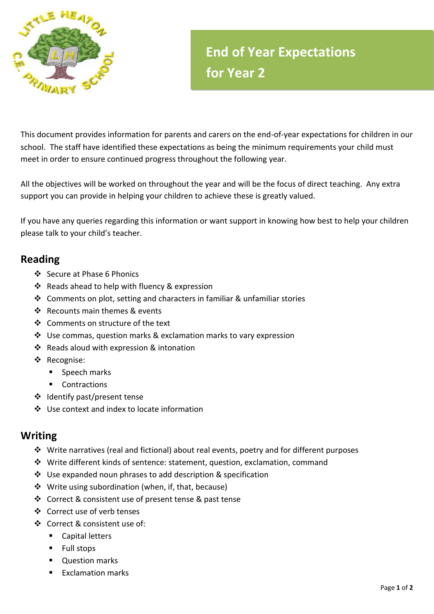

## **End of Year Expectations for Year 2**

This document provides information for parents and carers on the end-of-year expectations for children in our school. The staff have identified these expectations as being the minimum requirements your child must meet in order to ensure continued progress throughout the following year.

All the objectives will be worked on throughout the year and will be the focus of direct teaching. Any extra support you can provide in helping your children to achieve these is greatly valued.

If you have any queries regarding this information or want support in knowing how best to help your children please talk to your child's teacher.

## **Reading**

- Secure at Phase 6 Phonics
- Reads ahead to help with fluency & expression
- Comments on plot, setting and characters in familiar & unfamiliar stories
- ❖ Recounts main themes & events
- Comments on structure of the text
- $\cdot$  Use commas, question marks & exclamation marks to vary expression
- ❖ Reads aloud with expression & intonation
- ❖ Recognise:
	- **Speech marks**
	- **Contractions**
- ❖ Identify past/present tense
- Use context and index to locate information

## **Writing**

- Write narratives (real and fictional) about real events, poetry and for different purposes
- Write different kinds of sentence: statement, question, exclamation, command
- Use expanded noun phrases to add description & specification
- ❖ Write using subordination (when, if, that, because)
- ❖ Correct & consistent use of present tense & past tense
- Correct use of verb tenses
- Correct & consistent use of:
	- Capital letters
	- **Full stops**
	- **•** Question marks
	- **Exclamation marks**